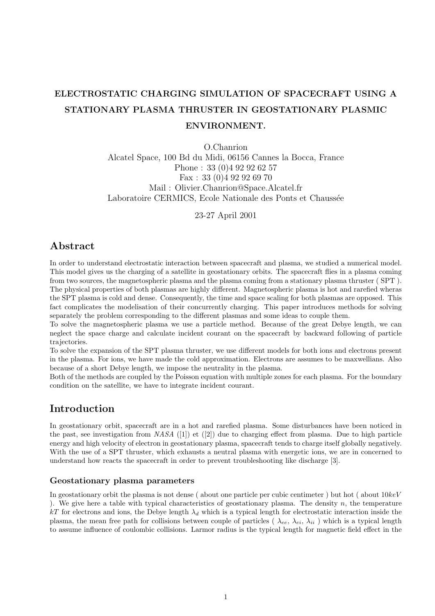# ELECTROSTATIC CHARGING SIMULATION OF SPACECRAFT USING A STATIONARY PLASMA THRUSTER IN GEOSTATIONARY PLASMIC ENVIRONMENT.

O.Chanrion Alcatel Space, 100 Bd du Midi, 06156 Cannes la Bocca, France Phone : 33 (0)4 92 92 62 57 Fax : 33 (0)4 92 92 69 70 Mail : Olivier.Chanrion@Space.Alcatel.fr Laboratoire CERMICS, Ecole Nationale des Ponts et Chaussée

23-27 April 2001

# Abstract

In order to understand electrostatic interaction between spacecraft and plasma, we studied a numerical model. This model gives us the charging of a satellite in geostationary orbits. The spacecraft flies in a plasma coming from two sources, the magnetospheric plasma and the plasma coming from a stationary plasma thruster ( SPT ). The physical properties of both plasmas are highly different. Magnetospheric plasma is hot and rarefied wheras the SPT plasma is cold and dense. Consequently, the time and space scaling for both plasmas are opposed. This fact complicates the modelisation of their concurrently charging. This paper introduces methods for solving separately the problem corresponding to the different plasmas and some ideas to couple them.

To solve the magnetospheric plasma we use a particle method. Because of the great Debye length, we can neglect the space charge and calculate incident courant on the spacecraft by backward following of particle trajectories.

To solve the expansion of the SPT plasma thruster, we use different models for both ions and electrons present in the plasma. For ions, we have made the cold approximation. Electrons are assumes to be maxwellians. Also because of a short Debye length, we impose the neutrality in the plasma.

Both of the methods are coupled by the Poisson equation with multiple zones for each plasma. For the boundary condition on the satellite, we have to integrate incident courant.

# Introduction

In geostationary orbit, spacecraft are in a hot and rarefied plasma. Some disturbances have been noticed in the past, see investigation from  $NASA$  ([1]) et ([2]) due to charging effect from plasma. Due to high particle energy and high velocity of electron in geostationary plasma, spacecraft tends to charge itself globally negatively. With the use of a SPT thruster, which exhausts a neutral plasma with energetic ions, we are in concerned to understand how reacts the spacecraft in order to prevent troubleshooting like discharge [3].

## Geostationary plasma parameters

In geostationary orbit the plasma is not dense (about one particle per cubic centimeter) but hot (about  $10keV$ ). We give here a table with typical characteristics of geostationary plasma. The density  $n$ , the temperature kT for electrons and ions, the Debye length  $\lambda_d$  which is a typical length for electrostatic interaction inside the plasma, the mean free path for collisions between couple of particles ( $\lambda_{ee}, \lambda_{ei}, \lambda_{ii}$ ) which is a typical length to assume influence of coulombic collisions. Larmor radius is the typical length for magnetic field effect in the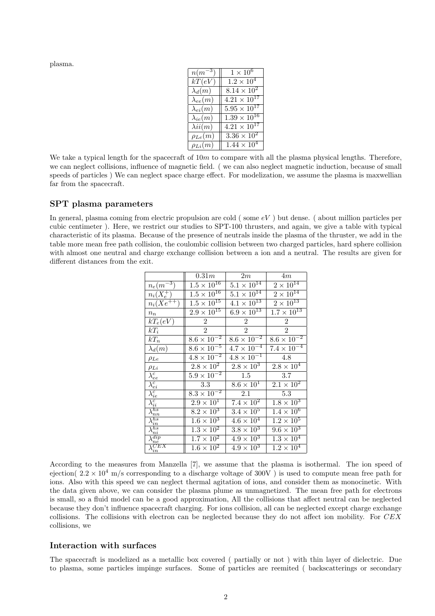plasma.

| $n(m^{-3})$       | $1 \times \overline{10^6}$       |
|-------------------|----------------------------------|
| kT(eV)            | $1.2 \times 10^{4}$              |
| $\lambda_d(m)$    | $8.14 \times 10^{2}$             |
| $\lambda_{ee}(m)$ | $4.21 \times 10^{17}$            |
| $\lambda_{ei}(m)$ | $5.95 \times 10^{17}$            |
| $\lambda_{ie}(m)$ | $1.39 \times 10^{16}$            |
| $\lambda ii(m)$   | $4.21 \times \overline{10^{17}}$ |
| $\rho_{Le}(m)$    | $3.36 \times 10^{2}$             |
| $\rho_{Li}(m)$    | $1.44 \times 10^{4}$             |

We take a typical length for the spacecraft of  $10m$  to compare with all the plasma physical lengths. Therefore, we can neglect collisions, influence of magnetic field. ( we can also neglect magnetic induction, because of small speeds of particles ) We can neglect space charge effect. For modelization, we assume the plasma is maxwellian far from the spacecraft.

# SPT plasma parameters

In general, plasma coming from electric propulsion are cold (some  $eV$ ) but dense. (about million particles per cubic centimeter ). Here, we restrict our studies to SPT-100 thrusters, and again, we give a table with typical characteristic of its plasma. Because of the presence of neutrals inside the plasma of the thruster, we add in the table more mean free path collision, the coulombic collision between two charged particles, hard sphere collision with almost one neutral and charge exchange collision between a ion and a neutral. The results are given for different distances from the exit.

|                             | 0.31m                           | $2m_\parallel$       | 4m                   |
|-----------------------------|---------------------------------|----------------------|----------------------|
| $n_e(m^{-3})$               | $1.5 \times 10^{16}$            | $5.1 \times 10^{14}$ | $2 \times 10^{14}$   |
| $n_i(X_e^+)$                | $1.5 \times 10^{16}$            | $5.1 \times 10^{14}$ | $2\times10^{14}$     |
| $n_i(Xe^{+\mp i})$          | $1.\overline{5 \times 10^{15}}$ | $4.1 \times 10^{13}$ | $2\times10^{13}$     |
| $n_n$                       | $2.9 \times 10^{15}$            | $6.9 \times 10^{13}$ | $1.7 \times 10^{13}$ |
| $kT_e(eV)$                  | 2                               | $\overline{2}$       | $\overline{2}$       |
| $kT_i$                      | $\mathfrak{D}$                  | $\overline{2}$       | $\mathfrak{D}$       |
| $kT_n$                      | $8.6 \times 10^{-2}$            | $8.6 \times 10^{-2}$ | $8.6 \times 10^{-2}$ |
| $\lambda_d(m)$              | $8.6 \times \overline{10^{-5}}$ | $4.7 \times 10^{-4}$ | $7.4 \times 10^{-4}$ |
| $\rho_{Le}$                 | $4.8 \times 10^{-2}$            | $4.8 \times 10^{-1}$ | 4.8                  |
| $\rho_{Li}$                 | $2.8 \times 10^{2}$             | $2.8 \times 10^3$    | $2.8 \times 10^{4}$  |
| $\overline{\lambda^c_{ee}}$ | $5.9 \times \overline{10^{-2}}$ | 1.5                  | 3.7                  |
| $\lambda_{ei}^{c}$          | 3.3                             | $8.6 \times 10^{1}$  | $2.1 \times 10^{2}$  |
| $\sqrt{\frac{c}{ie}}$       | $8.3 \times \overline{10^{-2}}$ | 2.1                  | 5.3                  |
| $\setminus_{ii}^c$          | $2.9 \times 10^{1}$             | $7.4 \times 10^{2}$  | $1.8 \times 10^3$    |
| hs<br>$n_{n}$               | $8.2 \times 10^3$               | $3.4 \times 10^{5}$  | $1.4 \times 10^{6}$  |
| hs<br>$\it in$              | $1.6 \times 10^3$               | $4.6 \times 10^4$    | $1.2 \times 10^{5}$  |
| $_{hs}$<br>$\it{ni}$        | $1.3 \times 10^2$               | $3.8 \times 10^{3}$  | $9.6 \times 10^3$    |
| dip<br>n e                  | $1.7 \times 10^{2}$             | $4.9 \times 10^{3}$  | $1.3 \times 10^{4}$  |
| JЕX<br>$\it in$             | $1.6 \times 10^2$               | $4.9 \times 10^{3}$  | $1.2 \times 10^{4}$  |

According to the measures from Manzella [7], we assume that the plasma is isothermal. The ion speed of ejection(  $2.2 \times 10^4$  m/s corresponding to a discharge voltage of 300V) is used to compute mean free path for ions. Also with this speed we can neglect thermal agitation of ions, and consider them as monocinetic. With the data given above, we can consider the plasma plume as unmagnetized. The mean free path for electrons is small, so a fluid model can be a good approximation, All the collisions that affect neutral can be neglected because they don't influence spacecraft charging. For ions collision, all can be neglected except charge exchange collisions. The collisions with electron can be neglected because they do not affect ion mobility. For CEX collisions, we

## Interaction with surfaces

The spacecraft is modelized as a metallic box covered ( partially or not ) with thin layer of dielectric. Due to plasma, some particles impinge surfaces. Some of particles are reemited ( backscatterings or secondary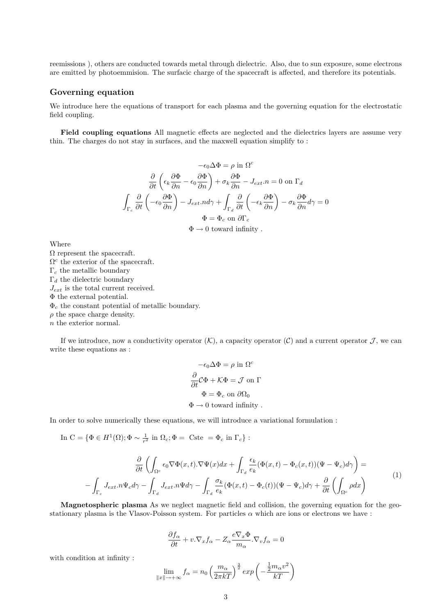reemissions ), others are conducted towards metal through dielectric. Also, due to sun exposure, some electrons are emitted by photoemmision. The surfacic charge of the spacecraft is affected, and therefore its potentials.

## Governing equation

We introduce here the equations of transport for each plasma and the governing equation for the electrostatic field coupling.

Field coupling equations All magnetic effects are neglected and the dielectrics layers are assume very thin. The charges do not stay in surfaces, and the maxwell equation simplify to :

$$
-\epsilon_0 \Delta \Phi = \rho \text{ in } \Omega^c
$$

$$
\frac{\partial}{\partial t} \left( \epsilon_k \frac{\partial \Phi}{\partial n} - \epsilon_0 \frac{\partial \Phi}{\partial n} \right) + \sigma_k \frac{\partial \Phi}{\partial n} - J_{ext}.n = 0 \text{ on } \Gamma_d
$$

$$
\int_{\Gamma_c} \frac{\partial}{\partial t} \left( -\epsilon_0 \frac{\partial \Phi}{\partial n} \right) - J_{ext}.n d\gamma + \int_{\Gamma_d} \frac{\partial}{\partial t} \left( -\epsilon_k \frac{\partial \Phi}{\partial n} \right) - \sigma_k \frac{\partial \Phi}{\partial n} d\gamma = 0
$$

$$
\Phi = \Phi_c \text{ on } \partial \Gamma_c
$$

$$
\Phi \to 0 \text{ toward infinity }.
$$

Where

 $\Omega$  represent the spacecraft.  $\Omega^c$  the exterior of the spacecraft.  $\Gamma_c$  the metallic boundary  $\Gamma_d$  the dielectric boundary  $J_{ext}$  is the total current received. Φ the external potential.  $\Phi_c$  the constant potential of metallic boundary.  $\rho$  the space charge density. n the exterior normal.

If we introduce, now a conductivity operator  $(K)$ , a capacity operator  $(C)$  and a current operator  $\mathcal{J}$ , we can write these equations as :

$$
-\epsilon_0 \Delta \Phi = \rho \text{ in } \Omega^c
$$

$$
\frac{\partial}{\partial t} C \Phi + K \Phi = \mathcal{J} \text{ on } \Gamma
$$

$$
\Phi = \Phi_c \text{ on } \partial \Omega_0
$$

$$
\Phi \to 0 \text{ toward infinity }.
$$

In order to solve numerically these equations, we will introduce a variational formulation :

In  $C = {\Phi \in H^1(\Omega)$ ;  $\Phi \sim \frac{1}{r^2}$  in  $\Omega_c$ ;  $\Phi = \text{Cste } = \Phi_c$  in  $\Gamma_c$  :

$$
\frac{\partial}{\partial t} \left( \int_{\Omega^c} \epsilon_0 \nabla \Phi(x, t) . \nabla \Psi(x) dx + \int_{\Gamma_d} \frac{\epsilon_k}{e_k} (\Phi(x, t) - \Phi_c(x, t)) (\Psi - \Psi_c) d\gamma \right) =
$$
\n
$$
- \int_{\Gamma_c} J_{ext}. n \Psi_c d\gamma - \int_{\Gamma_d} J_{ext}. n \Psi d\gamma - \int_{\Gamma_d} \frac{\sigma_k}{e_k} (\Phi(x, t) - \Phi_c(t)) (\Psi - \Psi_c) d\gamma + \frac{\partial}{\partial t} \left( \int_{\Omega^c} \rho dx \right)
$$
\n(1)

Magnetospheric plasma As we neglect magnetic field and collision, the governing equation for the geostationary plasma is the Vlasov-Poisson system. For particles  $\alpha$  which are ions or electrons we have :

$$
\frac{\partial f_{\alpha}}{\partial t} + v.\nabla_x f_{\alpha} - Z_{\alpha} \frac{e \nabla_x \Phi}{m_{\alpha}}.\nabla_v f_{\alpha} = 0
$$

with condition at infinity :

$$
\lim_{\|x\| \to +\infty} f_{\alpha} = n_0 \left(\frac{m_{\alpha}}{2\pi kT}\right)^{\frac{3}{2}} \exp\left(-\frac{\frac{1}{2}m_{\alpha}v^2}{kT}\right)
$$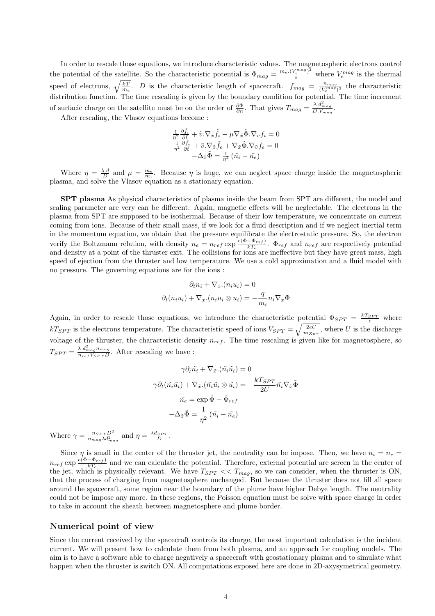In order to rescale those equations, we introduce characteristic values. The magnetospheric electrons control the potential of the satellite. So the characteristic potential is  $\Phi_{mag} = \frac{m_e (V_e^{mag})^2}{e}$  where  $V_e^{mag}$  is the thermal speed of electrons,  $\sqrt{\frac{kT}{m_e}}$ . *D* is the characteristic length of spacecraft.  $f_{mag} = \frac{n_{mag}}{(V_e^{mag})}$  $\frac{n_{mag}}{(V_e^{mag})^3}$  the characteristic distribution function. The time rescaling is given by the boundary condition for potential. The time increment of surfacic charge on the satellite must be on the order of  $\frac{\partial \Phi}{\partial n}$ . That gives  $T_{mag} = \frac{\lambda d_{mag}^2}{D.V_{mag}}$ .

After rescaling, the Vlasov equations become :

$$
\frac{1}{\eta^2} \frac{\partial \tilde{f}_i}{\partial \tilde{t}} + \tilde{v} . \nabla_{\tilde{x}} \tilde{f}_i - \mu \nabla_{\tilde{x}} \tilde{\Phi} . \nabla_{\tilde{v}} f_i = 0
$$

$$
\frac{1}{\eta^2} \frac{\partial \tilde{f}_e}{\partial \tilde{t}} + \tilde{v} . \nabla_{\tilde{x}} \tilde{f}_e + \nabla_{\tilde{x}} \tilde{\Phi} . \nabla_{\tilde{v}} f_e = 0
$$

$$
-\Delta_{\tilde{x}} \tilde{\Phi} = \frac{1}{\eta^2} (\tilde{n}_i - \tilde{n}_e)
$$

Where  $\eta = \frac{\lambda d}{D}$  and  $\mu = \frac{m_e}{m_i}$ . Because  $\eta$  is huge, we can neglect space charge inside the magnetospheric plasma, and solve the Vlasov equation as a stationary equation.

SPT plasma As physical characteristics of plasma inside the beam from SPT are different, the model and scaling parameter are very can be different. Again, magnetic effects will be neglectable. The electrons in the plasma from SPT are supposed to be isothermal. Because of their low temperature, we concentrate on current coming from ions. Because of their small mass, if we look for a fluid description and if we neglect inertial term in the momentum equation, we obtain that the pressure equilibrate the electrostatic pressure. So, the electron verify the Boltzmann relation, with density  $n_e = n_{ref} \exp \frac{e(\Phi - \Phi_{ref})}{kT_e}$  $\frac{1}{kT_e}$ .  $\Phi_{ref}$  and  $n_{ref}$  are respectively potential and density at a point of the thruster exit. The collisions for ions are ineffective but they have great mass, high speed of ejection from the thruster and low temperature. We use a cold approximation and a fluid model with no pressure. The governing equations are for the ions :

$$
\partial_t n_i + \nabla_x \cdot (n_i u_i) = 0
$$

$$
\partial_t (n_i u_i) + \nabla_x \cdot (n_i u_i \otimes u_i) = -\frac{q}{m_i} n_i \nabla_x \Phi
$$

Again, in order to rescale those equations, we introduce the characteristic potential  $\Phi_{SPT} = \frac{kT_{SPT}}{e}$  where  $kT_{SPT}$  is the electrons temperature. The characteristic speed of ions  $V_{SPT} = \sqrt{\frac{2eU}{m_{Xe+}}},$  where U is the discharge voltage of the thruster, the characteristic density  $n_{ref}$ . The time rescaling is given like for magnetosphere, so  $T_{SPT} = \frac{\lambda \ d_{mag}^2 n_{mag}}{n_{ref} V_{SPT} D}$  $\frac{\lambda \frac{d_{mag}}{d_{reg}}}{n_{ref}V_{SPT}D}$ . After rescaling we have :

$$
\gamma \partial_{\tilde{t}} \tilde{n}_i + \nabla_{\tilde{x}} . (\tilde{n}_i \tilde{u}_i) = 0
$$

$$
\gamma \partial_t (\tilde{n}_i \tilde{u}_i) + \nabla_{\tilde{x}} . (\tilde{n}_i \tilde{u}_i \otimes \tilde{u}_i) = -\frac{kT_{SPT}}{2U} \tilde{n}_i \nabla_{\tilde{x}} \tilde{\Phi}
$$

$$
\tilde{n}_e = \exp \tilde{\Phi} - \tilde{\Phi}_{ref}
$$

$$
-\Delta_{\tilde{x}} \tilde{\Phi} = \frac{1}{\eta^2} (\tilde{n}_i - \tilde{n}_e)
$$

Where  $\gamma = \frac{n_{SPT}D^2}{n_{\mathcal{M}^2}}$  $\frac{n_{SPT}D^2}{n_{mag}\lambda d_{mag}^2}$  and  $\eta = \frac{\lambda d_{SPT}}{D}$ .

Since  $\eta$  is small in the center of the thruster jet, the neutrality can be impose. Then, we have  $n_i = n_e$  $n_{ref}$  exp  $\frac{e(\Phi-\Phi_{ref})}{kT_c}$  $\frac{(-\Psi_{ref})}{kT_e}$  and we can calculate the potential. Therefore, external potential are screen in the center of the jet, which is physically relevant. We have  $T_{SPT} << T_{mag}$ , so we can consider, when the thruster is ON, that the process of charging from magnetosphere unchanged. But because the thruster does not fill all space around the spacecraft, some region near the boundary of the plume have higher Debye length. The neutrality could not be impose any more. In these regions, the Poisson equation must be solve with space charge in order to take in account the sheath between magnetosphere and plume border.

# Numerical point of view

Since the current received by the spacecraft controls its charge, the most important calculation is the incident current. We will present how to calculate them from both plasma, and an approach for coupling models. The aim is to have a software able to charge negatively a spacecraft with geostationary plasma and to simulate what happen when the thruster is switch ON. All computations exposed here are done in 2D-axysymetrical geometry.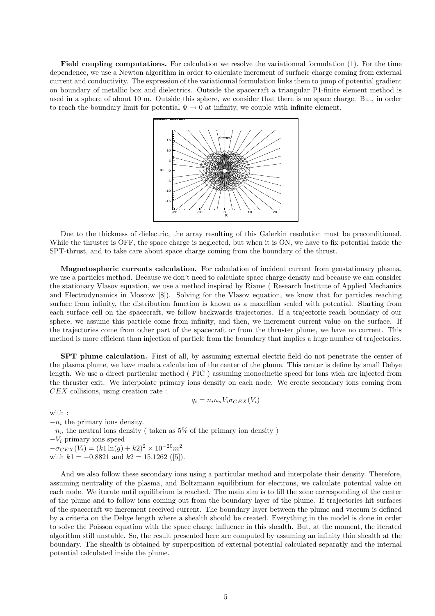Field coupling computations. For calculation we resolve the variationnal formulation (1). For the time dependence, we use a Newton algorithm in order to calculate increment of surfacic charge coming from external current and conductivity. The expression of the variationnal formulation links them to jump of potential gradient on boundary of metallic box and dielectrics. Outside the spacecraft a triangular P1-finite element method is used in a sphere of about 10 m. Outside this sphere, we consider that there is no space charge. But, in order to reach the boundary limit for potential  $\Phi \to 0$  at infinity, we couple with infinite element.



Due to the thickness of dielectric, the array resulting of this Galerkin resolution must be preconditioned. While the thruster is OFF, the space charge is neglected, but when it is ON, we have to fix potential inside the SPT-thrust, and to take care about space charge coming from the boundary of the thrust.

Magnetospheric currents calculation. For calculation of incident current from geostationary plasma, we use a particles method. Because we don't need to calculate space charge density and because we can consider the stationary Vlasov equation, we use a method inspired by Riame ( Research Institute of Applied Mechanics and Electrodynamics in Moscow [8]). Solving for the Vlasov equation, we know that for particles reaching surface from infinity, the distribution function is known as a maxellian scaled with potential. Starting from each surface cell on the spacecraft, we follow backwards trajectories. If a trajectorie reach boundary of our sphere, we assume this particle come from infinity, and then, we increment current value on the surface. If the trajectories come from other part of the spacecraft or from the thruster plume, we have no current. This method is more efficient than injection of particle from the boundary that implies a huge number of trajectories.

SPT plume calculation. First of all, by assuming external electric field do not penetrate the center of the plasma plume, we have made a calculation of the center of the plume. This center is define by small Debye length. We use a direct particular method ( PIC ) assuming monocinetic speed for ions wich are injected from the thruster exit. We interpolate primary ions density on each node. We create secondary ions coming from CEX collisions, using creation rate :

$$
q_i = n_i n_n V_i \sigma_{CEX}(V_i)
$$

with :

 $-n_i$  the primary ions density.  $-n_n$  the neutral ions density ( taken as 5% of the primary ion density )  $-V_i$  primary ions speed  $-\sigma_{CEX}(V_i) = (k1 \ln(g) + k2)^2 \times 10^{-20} m^2$ with  $k1 = -0.8821$  and  $k2 = 15.1262$  ([5]).

And we also follow these secondary ions using a particular method and interpolate their density. Therefore, assuming neutrality of the plasma, and Boltzmann equilibrium for electrons, we calculate potential value on each node. We iterate until equilibrium is reached. The main aim is to fill the zone corresponding of the center of the plume and to follow ions coming out from the boundary layer of the plume. If trajectories hit surfaces of the spacecraft we increment received current. The boundary layer between the plume and vaccum is defined by a criteria on the Debye length where a shealth should be created. Everything in the model is done in order to solve the Poisson equation with the space charge influence in this shealth. But, at the moment, the iterated algorithm still unstable. So, the result presented here are computed by assuming an infinity thin shealth at the boundary. The shealth is obtained by superposition of external potential calculated separatly and the internal potential calculated inside the plume.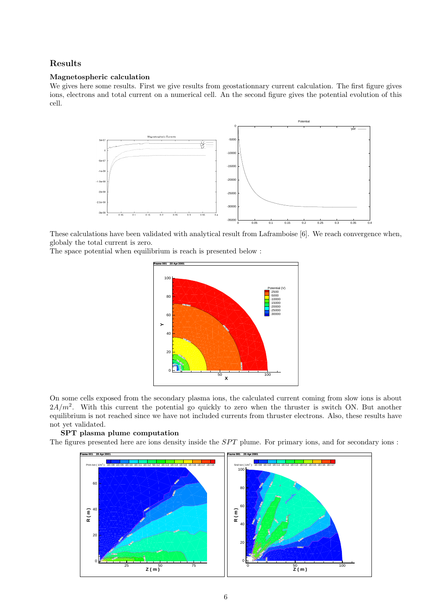# Results

#### Magnetospheric calculation

We gives here some results. First we give results from geostationnary current calculation. The first figure gives ions, electrons and total current on a numerical cell. An the second figure gives the potential evolution of this cell.



These calculations have been validated with analytical result from Laframboise [6]. We reach convergence when, globaly the total current is zero.

The space potential when equilibrium is reach is presented below :



On some cells exposed from the secondary plasma ions, the calculated current coming from slow ions is about  $2A/m^2$ . With this current the potential go quickly to zero when the thruster is switch ON. But another equilibrium is not reached since we have not included currents from thruster electrons. Also, these results have not yet validated.

#### SPT plasma plume computation

The figures presented here are ions density inside the SPT plume. For primary ions, and for secondary ions :